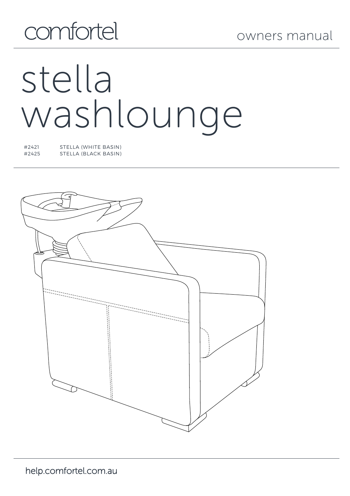# comfortel

# stella washlounge

#2421 STELLA (WHITE BASIN) #2425 STELLA (BLACK BASIN)

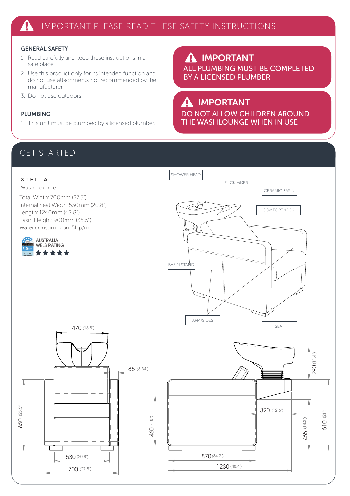#### GENERAL SAFETY

- 1. Read carefully and keep these instructions in a safe place.
- 2. Use this product only for its intended function and do not use attachments not recommended by the manufacturer.
- 3. Do not use outdoors.

#### PLUMBING

1. This unit must be plumbed by a licensed plumber.

IMPORTANT  $\boldsymbol{\Lambda}$ ALL PLUMBING MUST BE COMPLETED BY A LICENSED PLUMBER

# IMPORTANT

DO NOT ALLOW CHILDREN AROUND THE WASHLOUNGE WHEN IN USE

## GET STARTED

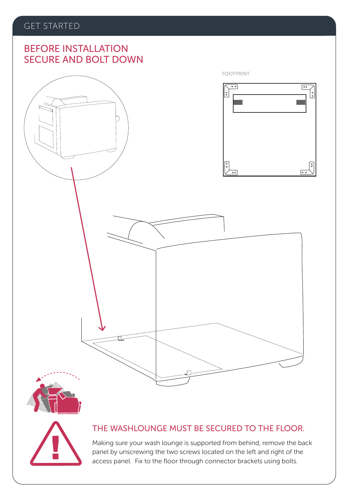## SECURE AND BOLT DOWN BEFORE INSTALLATION





#### THE WASHLOUNGE MUST BE SECURED TO THE FLOOR.

Making sure your wash lounge is supported from behind, remove the back panel by unscrewing the two screws located on the left and right of the access panel. Fix to the floor through connector brackets using bolts.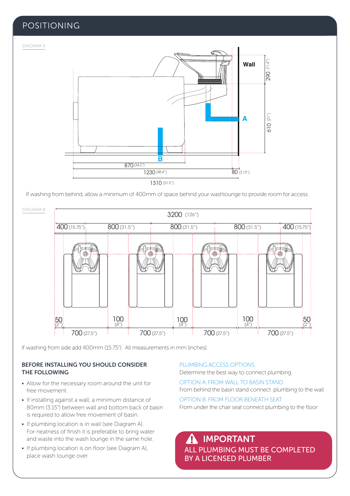#### POSITIONING

DIAGRAM A



If washing from behind, allow a minimum of 400mm of space behind your washlounge to provide room for access.



If washing from side add 400mm (15.75"). All measurements in mm (inches).

#### BEFORE INSTALLING YOU SHOULD CONSIDER THE FOLLOWING

- Allow for the necessary room around the unit for free movement.
- If installing against a wall, a minimum distance of 80mm (3.15") between wall and bottom back of basin is required to allow free movement of basin.
- If plumbing location is in wall (see Diagram A). For neatness of finish it is preferable to bring water and waste into the wash lounge in the same hole.
- If plumbing location is on floor (see Diagram A), place wash lounge over.

#### PLUMBING ACCESS OPTIONS

Determine the best way to connect plumbing.

OPTION A: FROM WALL TO BASIN STAND From behind the basin stand connect plumbing to the wall

OPTION B: FROM FLOOR BENEATH SEAT From under the chair seat connect plumbing to the floor

ALL PLUMBING MUST BE COMPLETED BY A LICENSED PLUMBER IMPORTANT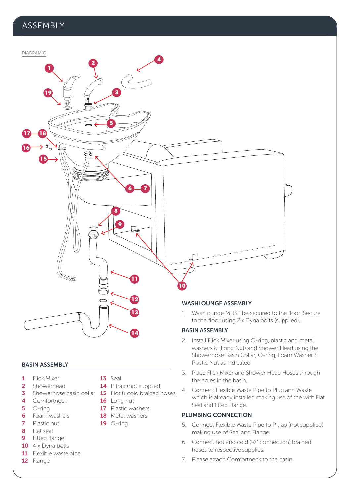#### ASSEMBLY



#### BASIN ASSEMBLY

- 1 Flick Mixer
- 2 Showerhead
- 4 Comfortneck
- 5 O-ring
- 6 Foam washers
- 7 Plastic nut
- 8 Flat seal
- 9 Fitted flange
- $10$  4 x Dyna bolts
- 11 Flexible waste pipe
- 12 Flange
- 13 Seal
- 14 P trap (not supplied)
- **3** Showerhose basin collar **15** Hot & cold braided hoses
	- 16 Long nut
	- **17** Plastic washers
	- 18 Metal washers
	- $19$  O-ring

to the floor using 2 x Dyna bolts (supplied).

- 2. Install Flick Mixer using O-ring, plastic and metal washers & (Long Nut) and Shower Head using the Showerhose Basin Collar, O-ring, Foam Washer & Plastic Nut as indicated.
- 3. Place Flick Mixer and Shower Head Hoses through the holes in the basin.
- 4. Connect Flexible Waste Pipe to Plug and Waste which is already installed making use of the with Flat Seal and fitted Flange.

#### PLUMBING CONNECTION

- 5. Connect Flexible Waste Pipe to P trap (not supplied) making use of Seal and Flange.
- 6. Connect hot and cold (½" connection) braided hoses to respective supplies.
- 7. Please attach Comfortneck to the basin.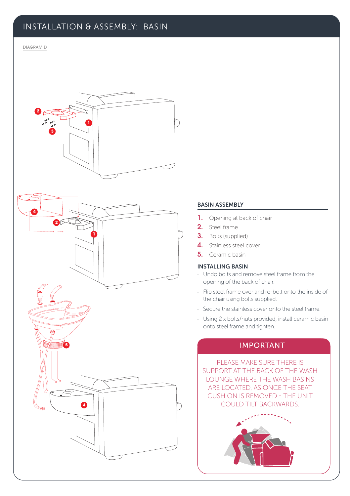#### INSTALLATION & ASSEMBLY: BASIN

#### DIAGRAM D **2**



#### BASIN ASSEMBLY

- 1. Opening at back of chair
- 2. Steel frame
- 3. Bolts (supplied)
- 4. Stainless steel cover
- 5. Ceramic basin

#### INSTALLING BASIN

- · Undo bolts and remove steel frame from the opening of the back of chair.
- · Flip steel frame over and re-bolt onto the inside of the chair using bolts supplied.
- · Secure the stainless cover onto the steel frame.
- · Using 2 x bolts/nuts provided, install ceramic basin onto steel frame and tighten.

#### IMPORTANT

PLEASE MAKE SURE THERE IS SUPPORT AT THE BACK OF THE WASH LOUNGE WHERE THE WASH BASINS ARE LOCATED, AS ONCE THE SEAT CUSHION IS REMOVED - THE UNIT COULD TILT BACKWARDS.

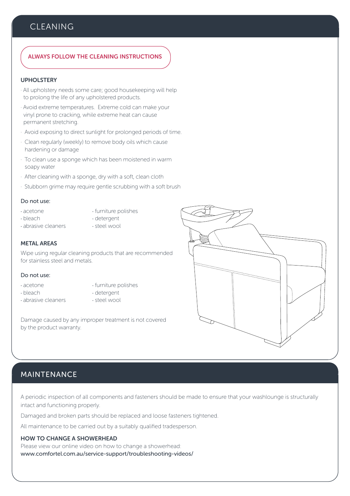#### **CLEANING**

#### ALWAYS FOLLOW THE CLEANING INSTRUCTIONS

#### UPHOLSTERY

- · All upholstery needs some care; good housekeeping will help to prolong the life of any upholstered products.
- · Avoid extreme temperatures. Extreme cold can make your vinyl prone to cracking, while extreme heat can cause permanent stretching.
- · Avoid exposing to direct sunlight for prolonged periods of time.
- · Clean regularly (weekly) to remove body oils which cause hardening or damage
- · To clean use a sponge which has been moistened in warm soapy water
- · After cleaning with a sponge, dry with a soft, clean cloth
- · Stubborn grime may require gentle scrubbing with a soft brush

#### Do not use:

- 
- acetone · furniture polishes<br>• bleach · · · · · · · detergent
- 
- · detergent<br>· steel wool
- $\cdot$  abrasive cleaners
- 
- 

#### METAL AREAS

Wipe using regular cleaning products that are recommended for stainless steel and metals.

#### Do not use:

- 
- · acetone · · · · · furniture polishes
- 
- · bleach · detergent
- 
- · abrasive cleaners · steel wool

Damage caused by any improper treatment is not covered by the product warranty.

#### MAINTENANCE

A periodic inspection of all components and fasteners should be made to ensure that your washlounge is structurally intact and functioning properly.

Damaged and broken parts should be replaced and loose fasteners tightened.

All maintenance to be carried out by a suitably qualified tradesperson.

#### HOW TO CHANGE A SHOWERHEAD

Please view our online video on how to change a showerhead: www.comfortel.com.au/service-support/troubleshooting-videos/